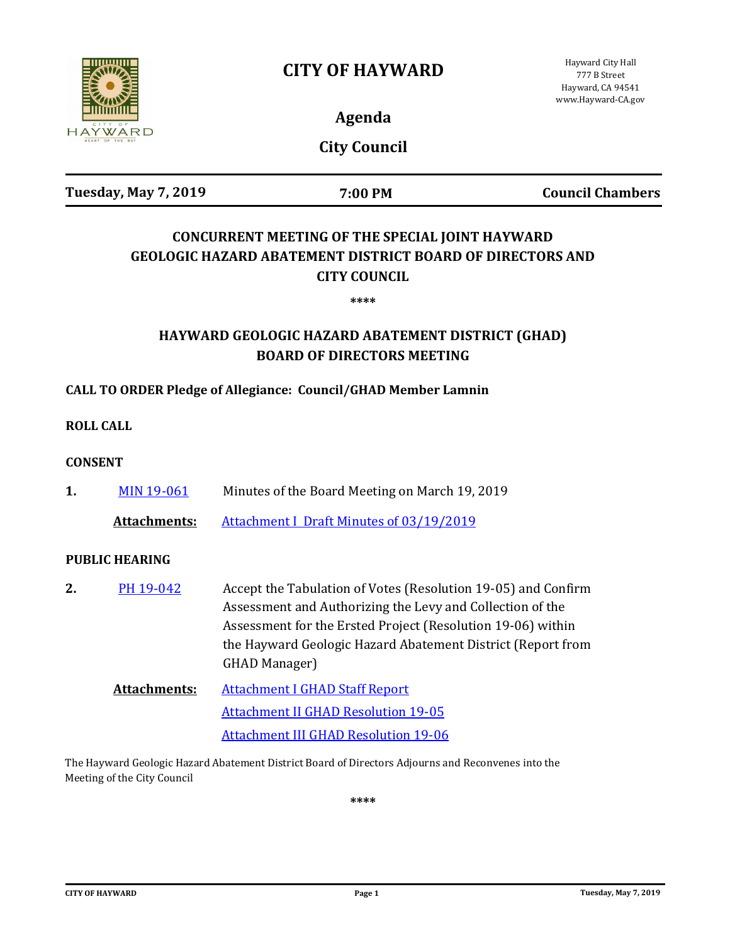# **CITY OF HAYWARD**



**Agenda**

**City Council**

| <b>Tuesday, May 7, 2019</b> | 7:00 PM | <b>Council Chambers</b> |
|-----------------------------|---------|-------------------------|
|                             |         |                         |

# **CONCURRENT MEETING OF THE SPECIAL JOINT HAYWARD GEOLOGIC HAZARD ABATEMENT DISTRICT BOARD OF DIRECTORS AND CITY COUNCIL**

**\*\*\*\***

## **HAYWARD GEOLOGIC HAZARD ABATEMENT DISTRICT (GHAD) BOARD OF DIRECTORS MEETING**

## **CALL TO ORDER Pledge of Allegiance: Council/GHAD Member Lamnin**

**ROLL CALL**

## **CONSENT**

**1.** [MIN 19-061](http://hayward.legistar.com/gateway.aspx?m=l&id=/matter.aspx?key=5815) Minutes of the Board Meeting on March 19, 2019

**Attachments:** [Attachment I Draft Minutes of 03/19/2019](http://hayward.legistar.com/gateway.aspx?M=F&ID=25b98424-d88c-44aa-be7a-f1b492e118ae.pdf)

## **PUBLIC HEARING**

- Accept the Tabulation of Votes (Resolution 19-05) and Confirm Assessment and Authorizing the Levy and Collection of the Assessment for the Ersted Project (Resolution 19-06) within the Hayward Geologic Hazard Abatement District (Report from GHAD Manager) **2.** [PH 19-042](http://hayward.legistar.com/gateway.aspx?m=l&id=/matter.aspx?key=5810)
	- **Attachments:** [Attachment I GHAD Staff Report](http://hayward.legistar.com/gateway.aspx?M=F&ID=46cd8084-3105-4502-96c8-b4020cb59d82.pdf) [Attachment II GHAD Resolution 19-05](http://hayward.legistar.com/gateway.aspx?M=F&ID=3e5a7fa2-129e-4a06-985e-3a2e85c932f8.pdf) [Attachment III GHAD Resolution 19-06](http://hayward.legistar.com/gateway.aspx?M=F&ID=152e7097-4c4d-41ae-a3dc-fa2dfb482d4b.pdf)

The Hayward Geologic Hazard Abatement District Board of Directors Adjourns and Reconvenes into the Meeting of the City Council

**\*\*\*\***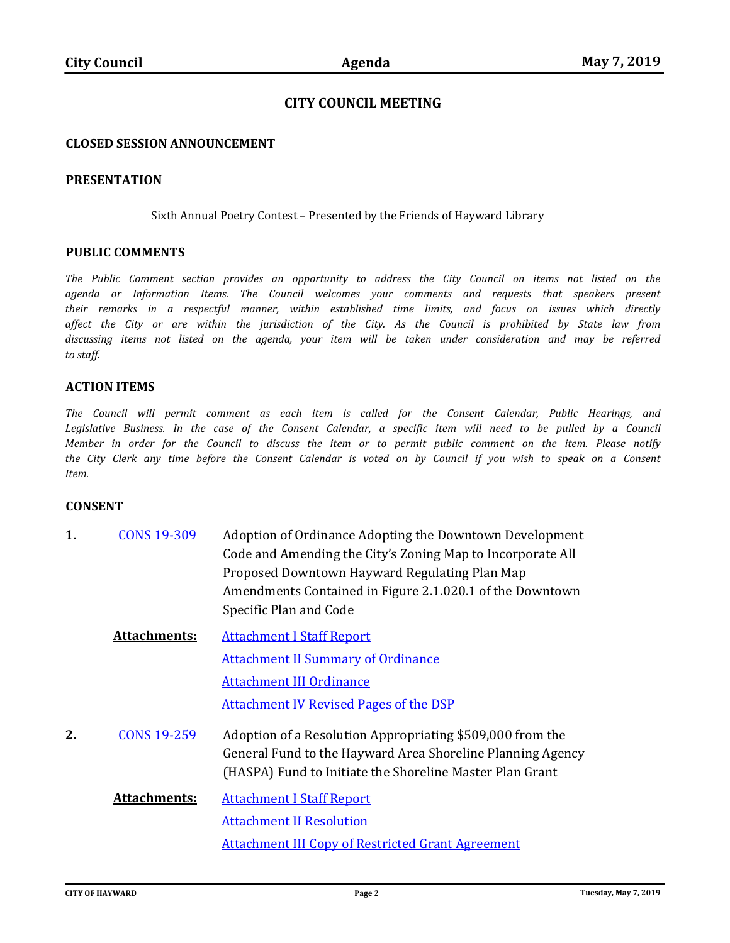## **CITY COUNCIL MEETING**

#### **CLOSED SESSION ANNOUNCEMENT**

#### **PRESENTATION**

#### Sixth Annual Poetry Contest – Presented by the Friends of Hayward Library

#### **PUBLIC COMMENTS**

*The Public Comment section provides an opportunity to address the City Council on items not listed on the agenda or Information Items. The Council welcomes your comments and requests that speakers present their remarks in a respectful manner, within established time limits, and focus on issues which directly affect the City or are within the jurisdiction of the City. As the Council is prohibited by State law from discussing items not listed on the agenda, your item will be taken under consideration and may be referred to staff.*

#### **ACTION ITEMS**

*The Council will permit comment as each item is called for the Consent Calendar, Public Hearings, and*  Legislative Business. In the case of the Consent Calendar, a specific item will need to be pulled by a Council *Member in order for the Council to discuss the item or to permit public comment on the item. Please notify the City Clerk any time before the Consent Calendar is voted on by Council if you wish to speak on a Consent Item.*

#### **CONSENT**

| 1. | <b>CONS 19-309</b>  | Adoption of Ordinance Adopting the Downtown Development<br>Code and Amending the City's Zoning Map to Incorporate All<br>Proposed Downtown Hayward Regulating Plan Map<br>Amendments Contained in Figure 2.1.020.1 of the Downtown<br>Specific Plan and Code |
|----|---------------------|--------------------------------------------------------------------------------------------------------------------------------------------------------------------------------------------------------------------------------------------------------------|
|    | Attachments:        | <b>Attachment I Staff Report</b>                                                                                                                                                                                                                             |
|    |                     | <b>Attachment II Summary of Ordinance</b>                                                                                                                                                                                                                    |
|    |                     | <b>Attachment III Ordinance</b>                                                                                                                                                                                                                              |
|    |                     | <b>Attachment IV Revised Pages of the DSP</b>                                                                                                                                                                                                                |
| 2. | <b>CONS 19-259</b>  | Adoption of a Resolution Appropriating \$509,000 from the<br>General Fund to the Hayward Area Shoreline Planning Agency<br>(HASPA) Fund to Initiate the Shoreline Master Plan Grant                                                                          |
|    | <b>Attachments:</b> | <b>Attachment I Staff Report</b>                                                                                                                                                                                                                             |
|    |                     | <b>Attachment II Resolution</b>                                                                                                                                                                                                                              |
|    |                     | <b>Attachment III Copy of Restricted Grant Agreement</b>                                                                                                                                                                                                     |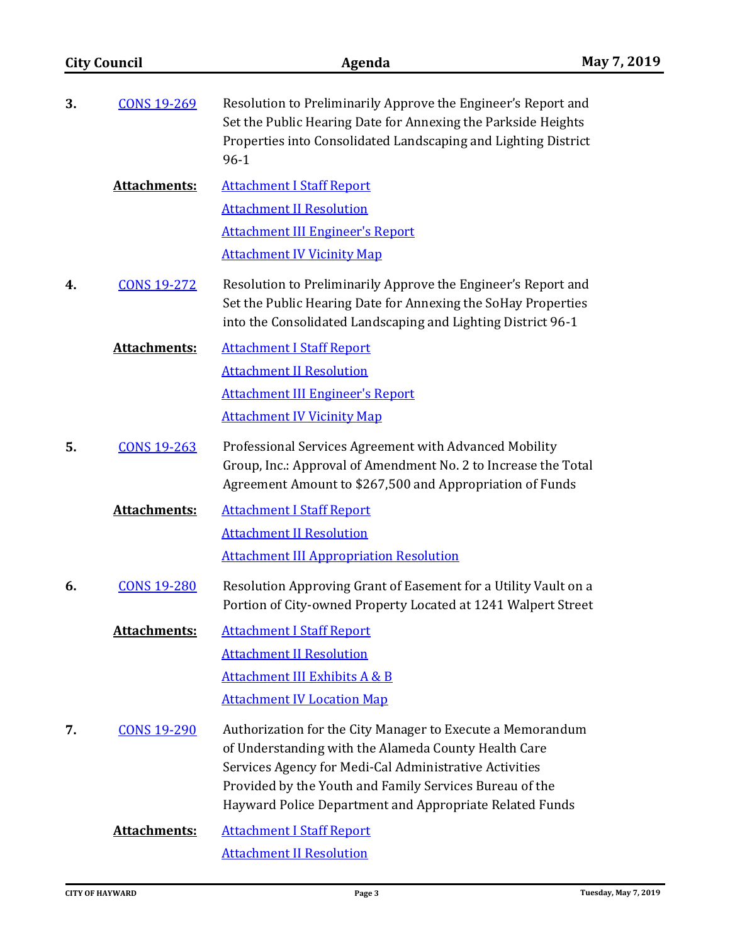| <b>City Council</b>      |                                                                                                                                                                                                            | Agenda                                                                                                                                                                                                                                                                                             | May 7, 2019 |
|--------------------------|------------------------------------------------------------------------------------------------------------------------------------------------------------------------------------------------------------|----------------------------------------------------------------------------------------------------------------------------------------------------------------------------------------------------------------------------------------------------------------------------------------------------|-------------|
| 3.<br><b>CONS 19-269</b> | Resolution to Preliminarily Approve the Engineer's Report and<br>Set the Public Hearing Date for Annexing the Parkside Heights<br>Properties into Consolidated Landscaping and Lighting District<br>$96-1$ |                                                                                                                                                                                                                                                                                                    |             |
|                          | <b>Attachments:</b>                                                                                                                                                                                        | <b>Attachment I Staff Report</b><br><b>Attachment II Resolution</b><br><b>Attachment III Engineer's Report</b><br><b>Attachment IV Vicinity Map</b>                                                                                                                                                |             |
| 4.                       | <b>CONS 19-272</b>                                                                                                                                                                                         | Resolution to Preliminarily Approve the Engineer's Report and<br>Set the Public Hearing Date for Annexing the SoHay Properties<br>into the Consolidated Landscaping and Lighting District 96-1                                                                                                     |             |
|                          | Attachments:                                                                                                                                                                                               | <b>Attachment I Staff Report</b><br><b>Attachment II Resolution</b><br><b>Attachment III Engineer's Report</b><br><b>Attachment IV Vicinity Map</b>                                                                                                                                                |             |
| 5.                       | <b>CONS 19-263</b>                                                                                                                                                                                         | Professional Services Agreement with Advanced Mobility<br>Group, Inc.: Approval of Amendment No. 2 to Increase the Total<br>Agreement Amount to \$267,500 and Appropriation of Funds                                                                                                               |             |
|                          | <b>Attachments:</b>                                                                                                                                                                                        | <b>Attachment I Staff Report</b><br><b>Attachment II Resolution</b><br><b>Attachment III Appropriation Resolution</b>                                                                                                                                                                              |             |
| 6.                       | <b>CONS 19-280</b>                                                                                                                                                                                         | Resolution Approving Grant of Easement for a Utility Vault on a<br>Portion of City-owned Property Located at 1241 Walpert Street                                                                                                                                                                   |             |
|                          | <b>Attachments:</b>                                                                                                                                                                                        | <b>Attachment I Staff Report</b><br><b>Attachment II Resolution</b><br><b>Attachment III Exhibits A &amp; B</b><br><b>Attachment IV Location Map</b>                                                                                                                                               |             |
| 7.                       | <b>CONS 19-290</b>                                                                                                                                                                                         | Authorization for the City Manager to Execute a Memorandum<br>of Understanding with the Alameda County Health Care<br>Services Agency for Medi-Cal Administrative Activities<br>Provided by the Youth and Family Services Bureau of the<br>Hayward Police Department and Appropriate Related Funds |             |
|                          | <b>Attachments:</b>                                                                                                                                                                                        | <b>Attachment I Staff Report</b><br><b>Attachment II Resolution</b>                                                                                                                                                                                                                                |             |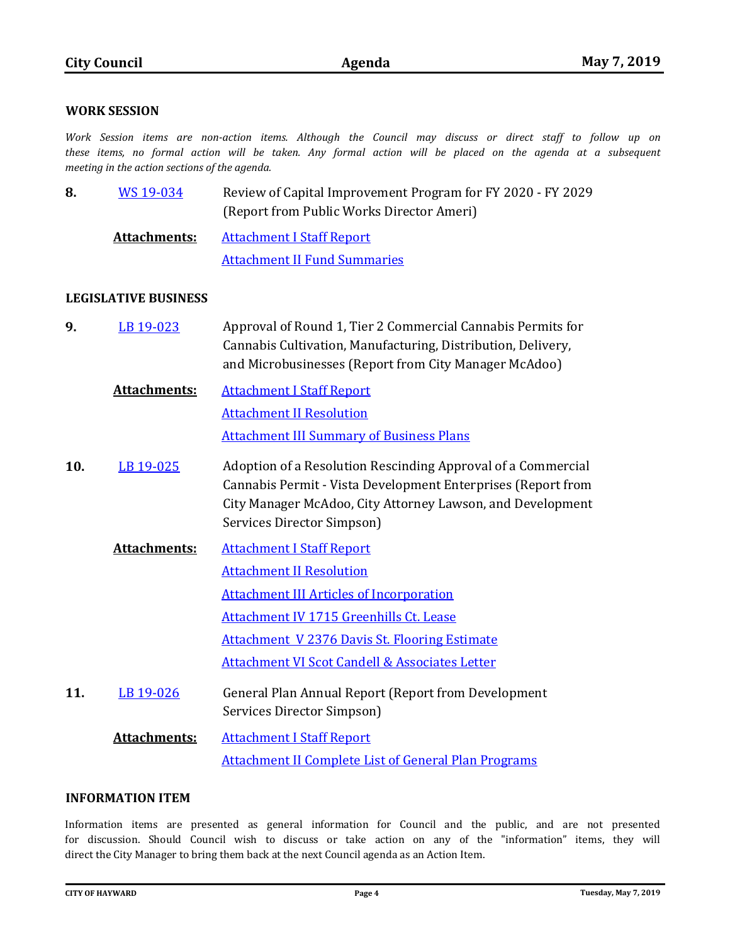## **WORK SESSION**

*Work Session items are non-action items. Although the Council may discuss or direct staff to follow up on these items, no formal action will be taken. Any formal action will be placed on the agenda at a subsequent meeting in the action sections of the agenda.*

| 8.<br>WS 19-034 |                             | Review of Capital Improvement Program for FY 2020 - FY 2029<br>(Report from Public Works Director Ameri) |  |
|-----------------|-----------------------------|----------------------------------------------------------------------------------------------------------|--|
|                 | <b>Attachments:</b>         | <b>Attachment I Staff Report</b>                                                                         |  |
|                 |                             | <b>Attachment II Fund Summaries</b>                                                                      |  |
|                 | <b>LEGISLATIVE BUSINESS</b> |                                                                                                          |  |
| 9.              | LB 19-023                   | Approval of Round 1, Tier 2 Commercial Cannabis Permits for                                              |  |

|     |                     | Cannabis Cultivation, Manufacturing, Distribution, Delivery,<br>and Microbusinesses (Report from City Manager McAdoo)                                                                                                    |
|-----|---------------------|--------------------------------------------------------------------------------------------------------------------------------------------------------------------------------------------------------------------------|
|     | <b>Attachments:</b> | <b>Attachment I Staff Report</b>                                                                                                                                                                                         |
|     |                     | <b>Attachment II Resolution</b>                                                                                                                                                                                          |
|     |                     | <b>Attachment III Summary of Business Plans</b>                                                                                                                                                                          |
| 10. | LB 19-025           | Adoption of a Resolution Rescinding Approval of a Commercial<br>Cannabis Permit - Vista Development Enterprises (Report from<br>City Manager McAdoo, City Attorney Lawson, and Development<br>Services Director Simpson) |
|     | <b>Attachments:</b> | <b>Attachment I Staff Report</b>                                                                                                                                                                                         |
|     |                     | <b>Attachment II Resolution</b>                                                                                                                                                                                          |
|     |                     | <b>Attachment III Articles of Incorporation</b>                                                                                                                                                                          |
|     |                     | <b>Attachment IV 1715 Greenhills Ct. Lease</b>                                                                                                                                                                           |
|     |                     | <b>Attachment V 2376 Davis St. Flooring Estimate</b>                                                                                                                                                                     |
|     |                     | <b>Attachment VI Scot Candell &amp; Associates Letter</b>                                                                                                                                                                |

General Plan Annual Report (Report from Development Services Director Simpson) **11.** [LB 19-026](http://hayward.legistar.com/gateway.aspx?m=l&id=/matter.aspx?key=5779)

**Attachments:** [Attachment I Staff Report](http://hayward.legistar.com/gateway.aspx?M=F&ID=ea6b41a2-593b-40b5-a88d-d63bfbf3f44f.doc) [Attachment II Complete List of General Plan Programs](http://hayward.legistar.com/gateway.aspx?M=F&ID=18c44d6d-e319-4b82-9d31-f51bcf2d5c36.docx)

#### **INFORMATION ITEM**

Information items are presented as general information for Council and the public, and are not presented for discussion. Should Council wish to discuss or take action on any of the "information" items, they will direct the City Manager to bring them back at the next Council agenda as an Action Item.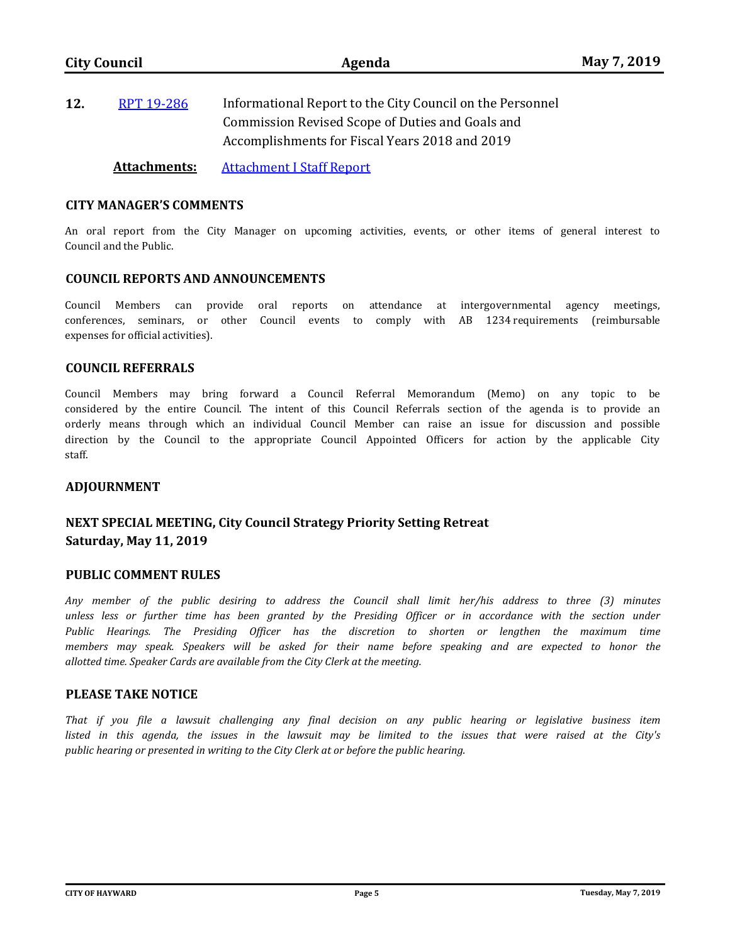Accomplishments for Fiscal Years 2018 and 2019

**Attachments:** [Attachment I Staff Report](http://hayward.legistar.com/gateway.aspx?M=F&ID=6716e9f4-6490-40b0-8db7-5a22e6f5227a.doc)

#### **CITY MANAGER'S COMMENTS**

An oral report from the City Manager on upcoming activities, events, or other items of general interest to Council and the Public.

#### **COUNCIL REPORTS AND ANNOUNCEMENTS**

Council Members can provide oral reports on attendance at intergovernmental agency meetings, conferences, seminars, or other Council events to comply with AB 1234 requirements (reimbursable expenses for official activities).

#### **COUNCIL REFERRALS**

Council Members may bring forward a Council Referral Memorandum (Memo) on any topic to be considered by the entire Council. The intent of this Council Referrals section of the agenda is to provide an orderly means through which an individual Council Member can raise an issue for discussion and possible direction by the Council to the appropriate Council Appointed Officers for action by the applicable City staff.

#### **ADJOURNMENT**

## **NEXT SPECIAL MEETING, City Council Strategy Priority Setting Retreat Saturday, May 11, 2019**

## **PUBLIC COMMENT RULES**

*Any member of the public desiring to address the Council shall limit her/his address to three (3) minutes*  unless less or further time has been granted by the Presiding Officer or in accordance with the section under *Public Hearings. The Presiding Officer has the discretion to shorten or lengthen the maximum time members may speak. Speakers will be asked for their name before speaking and are expected to honor the allotted time. Speaker Cards are available from the City Clerk at the meeting.*

## **PLEASE TAKE NOTICE**

*That if you file a lawsuit challenging any final decision on any public hearing or legislative business item listed in this agenda, the issues in the lawsuit may be limited to the issues that were raised at the City's public hearing or presented in writing to the City Clerk at or before the public hearing.*